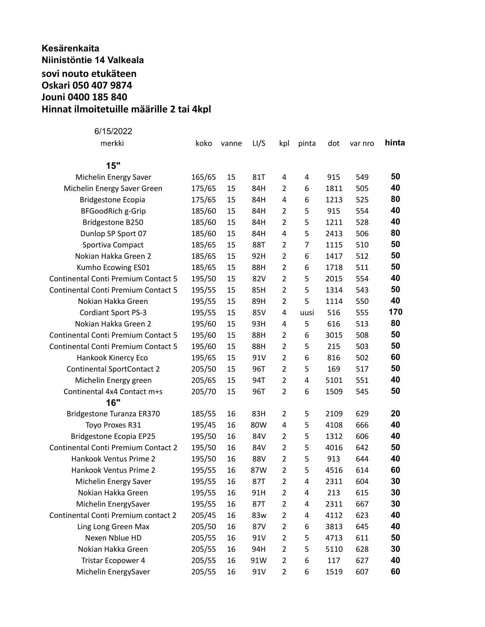## **Kesärenkaita Niinistöntie 14 Valkeala sovi nouto etukäteen Oskari 050 407 9874 Jouni 0400 185 840 Hinnat ilmoitetuille määrille 2 tai 4kpl**

| 6/15/2022                                  |        |       |      |                         |       |      |         |       |
|--------------------------------------------|--------|-------|------|-------------------------|-------|------|---------|-------|
| merkki                                     | koko   | vanne | LI/S | kpl                     | pinta | dot  | var nro | hinta |
| 15"                                        |        |       |      |                         |       |      |         |       |
| Michelin Energy Saver                      | 165/65 | 15    | 81T  | 4                       | 4     | 915  | 549     | 50    |
| Michelin Energy Saver Green                | 175/65 | 15    | 84H  | 2                       | 6     | 1811 | 505     | 40    |
| <b>Bridgestone Ecopia</b>                  | 175/65 | 15    | 84H  | 4                       | 6     | 1213 | 525     | 80    |
| <b>BFGoodRich g-Grip</b>                   | 185/60 | 15    | 84H  | $\overline{2}$          | 5     | 915  | 554     | 40    |
| Bridgestone B250                           | 185/60 | 15    | 84H  | $\overline{2}$          | 5     | 1211 | 528     | 40    |
| Dunlop SP Sport 07                         | 185/60 | 15    | 84H  | 4                       | 5     | 2413 | 506     | 80    |
| Sportiva Compact                           | 185/65 | 15    | 88T  | $\overline{2}$          | 7     | 1115 | 510     | 50    |
| Nokian Hakka Green 2                       | 185/65 | 15    | 92H  | $\overline{2}$          | 6     | 1417 | 512     | 50    |
| Kumho Ecowing ES01                         | 185/65 | 15    | 88H  | $\overline{2}$          | 6     | 1718 | 511     | 50    |
| Continental Conti Premium Contact 5        | 195/50 | 15    | 82V  | $\overline{2}$          | 5     | 2015 | 554     | 40    |
| Continental Conti Premium Contact 5        | 195/55 | 15    | 85H  | $\overline{2}$          | 5     | 1314 | 543     | 50    |
| Nokian Hakka Green                         | 195/55 | 15    | 89H  | $\overline{2}$          | 5     | 1114 | 550     | 40    |
| Cordiant Sport PS-3                        | 195/55 | 15    | 85V  | 4                       | uusi  | 516  | 555     | 170   |
| Nokian Hakka Green 2                       | 195/60 | 15    | 93H  | 4                       | 5     | 616  | 513     | 80    |
| <b>Continental Conti Premium Contact 5</b> | 195/60 | 15    | 88H  | $\overline{2}$          | 6     | 3015 | 508     | 50    |
| <b>Continental Conti Premium Contact 5</b> | 195/60 | 15    | 88H  | $\overline{2}$          | 5     | 215  | 503     | 50    |
| Hankook Kinercy Eco                        | 195/65 | 15    | 91V  | $\overline{2}$          | 6     | 816  | 502     | 60    |
| <b>Continental SportContact 2</b>          | 205/50 | 15    | 96T  | $\overline{2}$          | 5     | 169  | 517     | 50    |
| Michelin Energy green                      | 205/65 | 15    | 94T  | $\overline{2}$          | 4     | 5101 | 551     | 40    |
| Continental 4x4 Contact m+s                | 205/70 | 15    | 96T  | $\overline{2}$          | 6     | 1509 | 545     | 50    |
| 16"                                        |        |       |      |                         |       |      |         |       |
| Bridgestone Turanza ER370                  | 185/55 | 16    | 83H  | $\overline{2}$          | 5     | 2109 | 629     | 20    |
| Toyo Proxes R31                            | 195/45 | 16    | 80W  | 4                       | 5     | 4108 | 666     | 40    |
| <b>Bridgestone Ecopia EP25</b>             | 195/50 | 16    | 84V  | 2                       | 5     | 1312 | 606     | 40    |
| <b>Continental Conti Premium Contact 2</b> | 195/50 | 16    | 84V  | $\overline{2}$          | 5     | 4016 | 642     | 50    |
| Hankook Ventus Prime 2                     | 195/50 | 16    | 88V  | $\overline{2}$          | 5     | 913  | 644     | 40    |
| Hankook Ventus Prime 2                     | 195/55 | 16    | 87W  | $\overline{2}$          | 5     | 4516 | 614     | 60    |
| Michelin Energy Saver                      | 195/55 | 16    | 87T  | $\overline{\mathbf{c}}$ | 4     | 2311 | 604     | 30    |
| Nokian Hakka Green                         | 195/55 | 16    | 91H  | 2                       | 4     | 213  | 615     | 30    |
| Michelin EnergySaver                       | 195/55 | 16    | 87T  | $\overline{2}$          | 4     | 2311 | 667     | 30    |
| Continental Conti Premium contact 2        | 205/45 | 16    | 83w  | $\overline{2}$          | 4     | 4112 | 623     | 40    |
| Ling Long Green Max                        | 205/50 | 16    | 87V  | $\overline{2}$          | 6     | 3813 | 645     | 40    |
| Nexen Nblue HD                             | 205/55 | 16    | 91V  | $\overline{2}$          | 5     | 4713 | 611     | 50    |
| Nokian Hakka Green                         | 205/55 | 16    | 94H  | $\overline{2}$          | 5     | 5110 | 628     | 30    |
| Tristar Ecopower 4                         | 205/55 | 16    | 91W  | $\overline{2}$          | 6     | 117  | 627     | 40    |
| Michelin EnergySaver                       | 205/55 | 16    | 91V  | $\overline{2}$          | 6     | 1519 | 607     | 60    |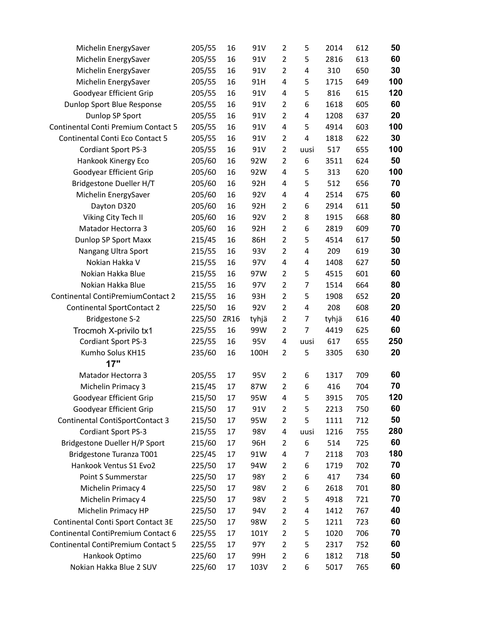| Michelin EnergySaver                | 205/55 | 16   | 91V   | $\overline{2}$ | 5    | 2014  | 612 | 50  |
|-------------------------------------|--------|------|-------|----------------|------|-------|-----|-----|
| Michelin EnergySaver                | 205/55 | 16   | 91V   | $\overline{2}$ | 5    | 2816  | 613 | 60  |
| Michelin EnergySaver                | 205/55 | 16   | 91V   | $\overline{2}$ | 4    | 310   | 650 | 30  |
| Michelin EnergySaver                | 205/55 | 16   | 91H   | 4              | 5    | 1715  | 649 | 100 |
| Goodyear Efficient Grip             | 205/55 | 16   | 91V   | 4              | 5    | 816   | 615 | 120 |
| Dunlop Sport Blue Response          | 205/55 | 16   | 91V   | $\overline{2}$ | 6    | 1618  | 605 | 60  |
| Dunlop SP Sport                     | 205/55 | 16   | 91V   | $\overline{2}$ | 4    | 1208  | 637 | 20  |
| Continental Conti Premium Contact 5 | 205/55 | 16   | 91V   | 4              | 5    | 4914  | 603 | 100 |
| Continental Conti Eco Contact 5     | 205/55 | 16   | 91V   | $\overline{2}$ | 4    | 1818  | 622 | 30  |
| Cordiant Sport PS-3                 | 205/55 | 16   | 91V   | $\overline{2}$ | uusi | 517   | 655 | 100 |
| Hankook Kinergy Eco                 | 205/60 | 16   | 92W   | $\overline{2}$ | 6    | 3511  | 624 | 50  |
| Goodyear Efficient Grip             | 205/60 | 16   | 92W   | 4              | 5    | 313   | 620 | 100 |
| Bridgestone Dueller H/T             | 205/60 | 16   | 92H   | 4              | 5    | 512   | 656 | 70  |
| Michelin EnergySaver                | 205/60 | 16   | 92V   | 4              | 4    | 2514  | 675 | 60  |
| Dayton D320                         | 205/60 | 16   | 92H   | $\overline{2}$ | 6    | 2914  | 611 | 50  |
| Viking City Tech II                 | 205/60 | 16   | 92V   | $\overline{2}$ | 8    | 1915  | 668 | 80  |
| Matador Hectorra 3                  | 205/60 | 16   | 92H   | $\overline{2}$ | 6    | 2819  | 609 | 70  |
| Dunlop SP Sport Maxx                | 215/45 | 16   | 86H   | $\overline{2}$ | 5    | 4514  | 617 | 50  |
| Nangang Ultra Sport                 | 215/55 | 16   | 93V   | $\overline{2}$ | 4    | 209   | 619 | 30  |
| Nokian Hakka V                      | 215/55 | 16   | 97V   | 4              | 4    | 1408  | 627 | 50  |
| Nokian Hakka Blue                   | 215/55 | 16   | 97W   | $\overline{2}$ | 5    | 4515  | 601 | 60  |
| Nokian Hakka Blue                   | 215/55 | 16   | 97V   | $\overline{2}$ | 7    | 1514  | 664 | 80  |
| Continental ContiPremiumContact 2   | 215/55 | 16   | 93H   | $\overline{2}$ | 5    | 1908  | 652 | 20  |
| <b>Continental SportContact 2</b>   | 225/50 | 16   | 92V   | $\overline{2}$ | 4    | 208   | 608 | 20  |
| <b>Bridgestone S-2</b>              | 225/50 | ZR16 | tyhjä | $\overline{2}$ | 7    | tyhjä | 616 | 40  |
| Trocmoh X-privilo tx1               | 225/55 | 16   | 99W   | $\overline{2}$ | 7    | 4419  | 625 | 60  |
| Cordiant Sport PS-3                 | 225/55 | 16   | 95V   | 4              | uusi | 617   | 655 | 250 |
| Kumho Solus KH15                    | 235/60 | 16   | 100H  | $\overline{2}$ | 5    | 3305  | 630 | 20  |
| 17"                                 |        |      |       |                |      |       |     |     |
| Matador Hectorra 3                  | 205/55 | 17   | 95V   | $\overline{2}$ | 6    | 1317  | 709 | 60  |
| Michelin Primacy 3                  | 215/45 | 17   | 87W   | $\overline{2}$ | 6    | 416   | 704 | 70  |
| Goodyear Efficient Grip             | 215/50 | 17   | 95W   | 4              | 5    | 3915  | 705 | 120 |
| Goodyear Efficient Grip             | 215/50 | 17   | 91V   | $\overline{2}$ | 5    | 2213  | 750 | 60  |
| Continental ContiSportContact 3     | 215/50 | 17   | 95W   | $\overline{2}$ | 5    | 1111  | 712 | 50  |
| Cordiant Sport PS-3                 | 215/55 | 17   | 98V   | 4              | uusi | 1216  | 755 | 280 |
| Bridgestone Dueller H/P Sport       | 215/60 | 17   | 96H   | 2              | 6    | 514   | 725 | 60  |
| Bridgestone Turanza T001            | 225/45 | 17   | 91W   | 4              | 7    | 2118  | 703 | 180 |
| Hankook Ventus S1 Evo2              | 225/50 | 17   | 94W   | $\overline{2}$ | 6    | 1719  | 702 | 70  |
| Point S Summerstar                  | 225/50 | 17   | 98Y   | 2              | 6    | 417   | 734 | 60  |
| Michelin Primacy 4                  | 225/50 | 17   | 98V   | $\overline{2}$ | 6    | 2618  | 701 | 80  |
| Michelin Primacy 4                  | 225/50 | 17   | 98V   | 2              | 5    | 4918  | 721 | 70  |
| Michelin Primacy HP                 | 225/50 | 17   | 94V   | $\overline{2}$ | 4    | 1412  | 767 | 40  |
| Continental Conti Sport Contact 3E  | 225/50 | 17   | 98W   | 2              | 5    | 1211  | 723 | 60  |
| Continental ContiPremium Contact 6  | 225/55 | 17   | 101Y  | 2              | 5    | 1020  | 706 | 70  |
| Continental ContiPremium Contact 5  | 225/55 | 17   | 97Y   | 2              | 5    | 2317  | 752 | 60  |
| Hankook Optimo                      | 225/60 | 17   | 99H   | $\overline{2}$ | 6    | 1812  | 718 | 50  |
| Nokian Hakka Blue 2 SUV             | 225/60 | 17   | 103V  | $\overline{2}$ | 6    | 5017  | 765 | 60  |